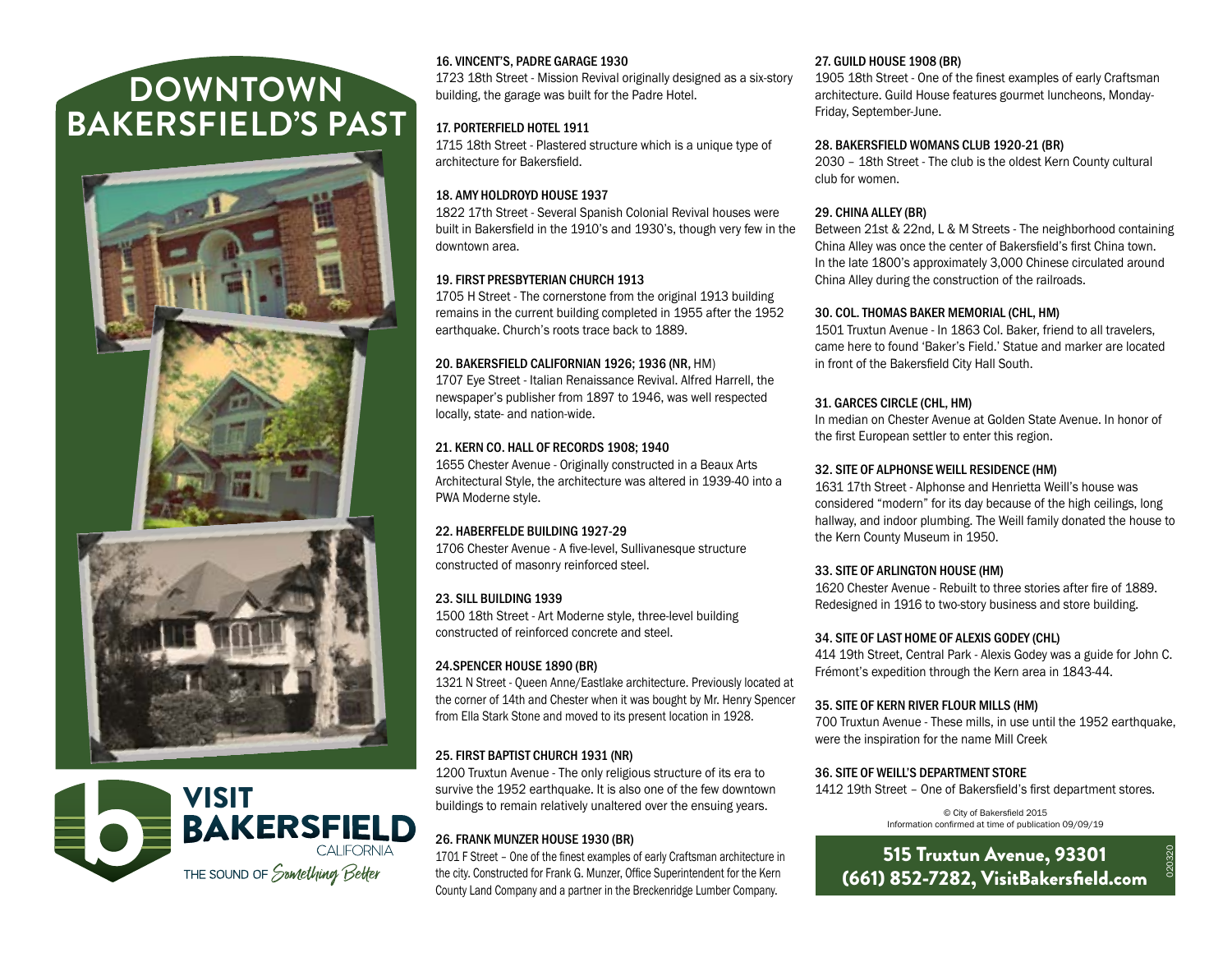# **DOWNTOWN BAKERSFIELD'S PAST**





# 16. VINCENT'S, PADRE GARAGE 1930

1723 18th Street - Mission Revival originally designed as a six-story building, the garage was built for the Padre Hotel.

# 17. PORTERFIELD HOTEL 1911

1715 18th Street - Plastered structure which is a unique type of architecture for Bakersfield.

# 18. AMY HOLDROYD HOUSE 1937

1822 17th Street - Several Spanish Colonial Revival houses were built in Bakersfield in the 1910's and 1930's, though very few in the downtown area.

#### 19. FIRST PRESBYTERIAN CHURCH 1913

1705 H Street - The cornerstone from the original 1913 building remains in the current building completed in 1955 after the 1952 earthquake. Church's roots trace back to 1889.

#### 20. BAKERSFIELD CALIFORNIAN 1926; 1936 (NR, HM)

1707 Eye Street - Italian Renaissance Revival. Alfred Harrell, the newspaper's publisher from 1897 to 1946, was well respected locally, state- and nation-wide.

#### 21. KERN CO. HALL OF RECORDS 1908; 1940

1655 Chester Avenue - Originally constructed in a Beaux Arts Architectural Style, the architecture was altered in 1939-40 into a PWA Moderne style.

#### 22. HABERFELDE BUILDING 1927-29

1706 Chester Avenue - A five-level, Sullivanesque structure constructed of masonry reinforced steel.

# 23. SILL BUILDING 1939

1500 18th Street - Art Moderne style, three-level building constructed of reinforced concrete and steel.

#### 24.SPENCER HOUSE 1890 (BR)

1321 N Street - Queen Anne/Eastlake architecture. Previously located at the corner of 14th and Chester when it was bought by Mr. Henry Spencer from Ella Stark Stone and moved to its present location in 1928.

# 25. FIRST BAPTIST CHURCH 1931 (NR)

1200 Truxtun Avenue - The only religious structure of its era to survive the 1952 earthquake. It is also one of the few downtown buildings to remain relatively unaltered over the ensuing years.

# 26. FRANK MUNZER HOUSE 1930 (BR)

1701 F Street – One of the finest examples of early Craftsman architecture in the city. Constructed for Frank G. Munzer, Office Superintendent for the Kern County Land Company and a partner in the Breckenridge Lumber Company.

#### 27. GUILD HOUSE 1908 (BR)

1905 18th Street - One of the finest examples of early Craftsman architecture. Guild House features gourmet luncheons, Monday-Friday, September-June.

#### 28. BAKERSFIELD WOMANS CLUB 1920-21 (BR)

2030 – 18th Street - The club is the oldest Kern County cultural club for women.

#### 29. CHINA ALLEY (BR)

Between 21st & 22nd, L & M Streets - The neighborhood containing China Alley was once the center of Bakersfield's first China town. In the late 1800's approximately 3,000 Chinese circulated around China Alley during the construction of the railroads.

#### 30. COL. THOMAS BAKER MEMORIAL (CHL, HM)

1501 Truxtun Avenue - In 1863 Col. Baker, friend to all travelers, came here to found 'Baker's Field.' Statue and marker are located in front of the Bakersfield City Hall South.

#### 31. GARCES CIRCLE (CHL, HM)

In median on Chester Avenue at Golden State Avenue. In honor of the first European settler to enter this region.

#### 32. SITE OF ALPHONSE WEILL RESIDENCE (HM)

1631 17th Street - Alphonse and Henrietta Weill's house was considered "modern" for its day because of the high ceilings, long hallway, and indoor plumbing. The Weill family donated the house to the Kern County Museum in 1950.

#### 33. SITE OF ARLINGTON HOUSE (HM)

1620 Chester Avenue - Rebuilt to three stories after fire of 1889. Redesigned in 1916 to two-story business and store building.

#### 34. SITE OF LAST HOME OF ALEXIS GODEY (CHL)

414 19th Street, Central Park - Alexis Godey was a guide for John C. Frémont's expedition through the Kern area in 1843-44.

#### 35. SITE OF KERN RIVER FLOUR MILLS (HM)

700 Truxtun Avenue - These mills, in use until the 1952 earthquake, were the inspiration for the name Mill Creek

# 36. SITE OF WEILL'S DEPARTMENT STORE

1412 19th Street – One of Bakersfield's first department stores.

© City of Bakersfield 2015 Information confirmed at time of publication 09/09/19

# 515 Truxtun Avenue, 93301 (661) 852-7282, VisitBakersfield.com

020320